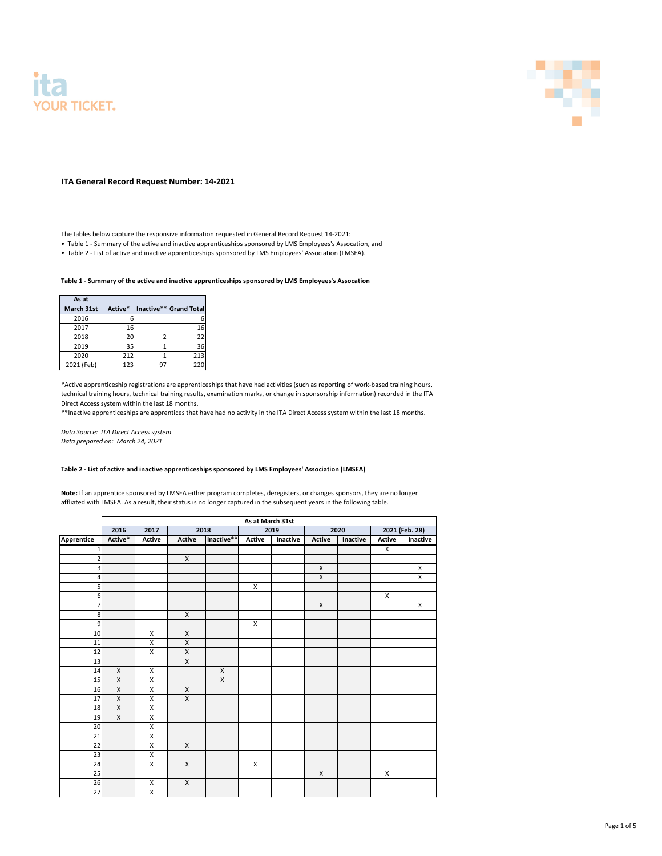## **Table 1 - Summary of the active and inactive apprenticeships sponsored by LMS Employees's Assocation**

| As at             |         |     |                        |
|-------------------|---------|-----|------------------------|
| <b>March 31st</b> | Active* |     | Inactive** Grand Total |
| 2016              |         |     | 6                      |
| 2017              | 16      |     | 16                     |
| 2018              | 20      |     | 22                     |
| 2019              | 35      |     | 36                     |
| 2020              | 212     |     | 213                    |
| 2021 (Feb)        | 123     | ാ - | 220                    |

\*\*Inactive apprenticeships are apprentices that have had no activity in the ITA Direct Access system within the last 18 months.

*Data Source: ITA Direct Access system Data prepared on: March 24, 2021*

## **Table 2 - List of active and inactive apprenticeships sponsored by LMS Employees' Association (LMSEA)**





**ITA General Record Request Number: 14-2021**

|                 | As at March 31st |                    |                |                    |                    |          |               |          |                |                    |  |  |
|-----------------|------------------|--------------------|----------------|--------------------|--------------------|----------|---------------|----------|----------------|--------------------|--|--|
|                 | 2016             | 2017               |                | 2018               |                    | 2019     |               | 2020     |                | 2021 (Feb. 28)     |  |  |
| Apprentice      | Active*          | <b>Active</b>      | <b>Active</b>  | Inactive**         | <b>Active</b>      | Inactive | <b>Active</b> | Inactive | <b>Active</b>  | Inactive           |  |  |
| 1               |                  |                    |                |                    |                    |          |               |          | $\overline{X}$ |                    |  |  |
| $\overline{2}$  |                  |                    | $\mathsf{X}$   |                    |                    |          |               |          |                |                    |  |  |
| $\overline{3}$  |                  |                    |                |                    |                    |          | $\mathsf X$   |          |                | $\mathsf X$        |  |  |
| $\vert 4 \vert$ |                  |                    |                |                    |                    |          | $\mathsf{X}$  |          |                | $\overline{X}$     |  |  |
| $\overline{5}$  |                  |                    |                |                    | $\pmb{\mathsf{X}}$ |          |               |          |                |                    |  |  |
| $\overline{6}$  |                  |                    |                |                    |                    |          |               |          | $\mathsf{X}^-$ |                    |  |  |
| $\overline{7}$  |                  |                    |                |                    |                    |          | $\mathsf X$   |          |                | $\pmb{\mathsf{X}}$ |  |  |
| $\infty$        |                  |                    | $\mathsf X$    |                    |                    |          |               |          |                |                    |  |  |
| $\overline{9}$  |                  |                    |                |                    | $\pmb{\mathsf{X}}$ |          |               |          |                |                    |  |  |
| 10              |                  | $\mathsf X$        | $\mathsf X$    |                    |                    |          |               |          |                |                    |  |  |
| 11              |                  | $\pmb{\mathsf{X}}$ | $\mathsf X$    |                    |                    |          |               |          |                |                    |  |  |
| 12              |                  | $\pmb{\mathsf{X}}$ | $\mathsf X$    |                    |                    |          |               |          |                |                    |  |  |
| 13              |                  |                    | $\overline{X}$ |                    |                    |          |               |          |                |                    |  |  |
| 14              | $\mathsf X$      | $\pmb{\times}$     |                | $\pmb{\mathsf{X}}$ |                    |          |               |          |                |                    |  |  |
| 15              | $\mathsf X$      | $\mathsf X$        |                | $\mathsf X$        |                    |          |               |          |                |                    |  |  |
| 16              | $\pmb{\times}$   | $\mathsf X$        | $\mathsf X$    |                    |                    |          |               |          |                |                    |  |  |
| 17              | $\overline{X}$   | $\mathsf X$        | $\overline{X}$ |                    |                    |          |               |          |                |                    |  |  |
| 18              | $\mathsf{X}$     | $\mathsf X$        |                |                    |                    |          |               |          |                |                    |  |  |
| 19              | $\overline{X}$   | $\overline{X}$     |                |                    |                    |          |               |          |                |                    |  |  |
| 20              |                  | $\mathsf X$        |                |                    |                    |          |               |          |                |                    |  |  |
| 21              |                  | $\mathsf X$        |                |                    |                    |          |               |          |                |                    |  |  |
| $\overline{22}$ |                  | $\pmb{\mathsf{X}}$ | $\mathsf X$    |                    |                    |          |               |          |                |                    |  |  |
| 23              |                  | $\pmb{\times}$     |                |                    |                    |          |               |          |                |                    |  |  |
| 24              |                  | $\mathsf X$        | $\mathsf X$    |                    | $\pmb{\mathsf{X}}$ |          |               |          |                |                    |  |  |
| $\overline{25}$ |                  |                    |                |                    |                    |          | $\mathsf X$   |          | $\mathsf{X}$   |                    |  |  |
| 26              |                  | $\pmb{\mathsf{X}}$ | $\mathsf X$    |                    |                    |          |               |          |                |                    |  |  |
| 27              |                  | $\mathsf X$        |                |                    |                    |          |               |          |                |                    |  |  |

The tables below capture the responsive information requested in General Record Request 14-2021:

- Table 1 Summary of the active and inactive apprenticeships sponsored by LMS Employees's Assocation, and
- Table 2 List of active and inactive apprenticeships sponsored by LMS Employees' Association (LMSEA).

\*Active apprenticeship registrations are apprenticeships that have had activities (such as reporting of work-based training hours, technical training hours, technical training results, examination marks, or change in sponsorship information) recorded in the ITA Direct Access system within the last 18 months.

**Note:** If an apprentice sponsored by LMSEA either program completes, deregisters, or changes sponsors, they are no longer affliated with LMSEA. As a result, their status is no longer captured in the subsequent years in the following table.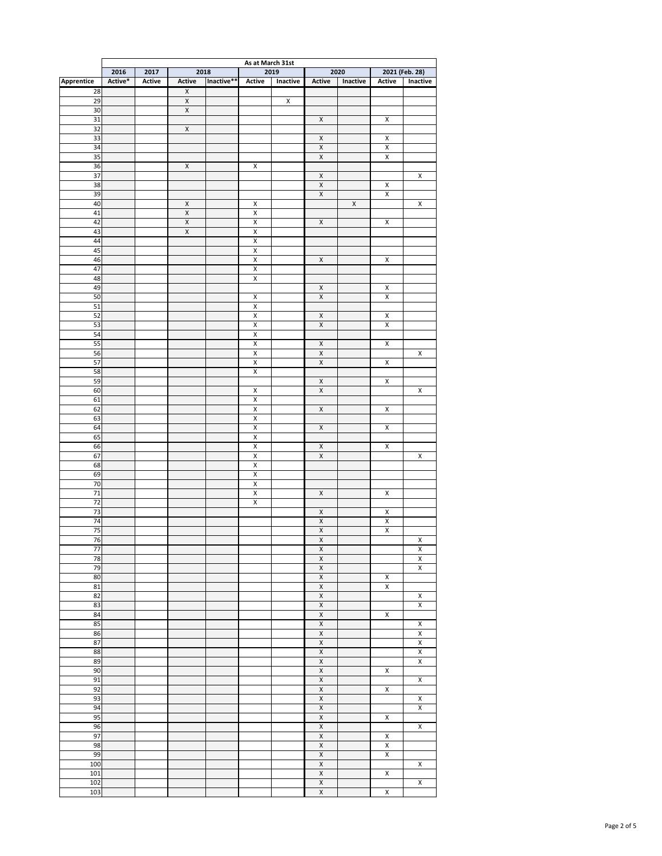|                       | As at March 31st |               |                         |            |                                               |             |                                           |                    |                         |                                                    |
|-----------------------|------------------|---------------|-------------------------|------------|-----------------------------------------------|-------------|-------------------------------------------|--------------------|-------------------------|----------------------------------------------------|
|                       | 2016             | 2017          | 2018                    |            |                                               | 2019        |                                           | 2020               |                         | 2021 (Feb. 28)                                     |
| Apprentice            | Active*          | <b>Active</b> | <b>Active</b>           | Inactive** | <b>Active</b>                                 | Inactive    | <b>Active</b>                             | Inactive           | <b>Active</b>           | Inactive                                           |
| 28                    |                  |               | $\pmb{\mathsf{X}}$      |            |                                               |             |                                           |                    |                         |                                                    |
| 29                    |                  |               | $\overline{\mathsf{X}}$ |            |                                               | $\mathsf X$ |                                           |                    |                         |                                                    |
| 30                    |                  |               | $\mathsf X$             |            |                                               |             |                                           |                    | $\pmb{\times}$          |                                                    |
| 31<br>$\overline{32}$ |                  |               | $\mathsf X$             |            |                                               |             | $\mathsf X$                               |                    |                         |                                                    |
| 33                    |                  |               |                         |            |                                               |             | $\mathsf X$                               |                    | $\pmb{\mathsf{X}}$      |                                                    |
| 34                    |                  |               |                         |            |                                               |             | $\overline{\mathsf{X}}$                   |                    | $\mathsf X$             |                                                    |
| 35                    |                  |               |                         |            |                                               |             | $\mathsf X$                               |                    | $\mathsf X$             |                                                    |
| 36                    |                  |               | $\pmb{\mathsf{X}}$      |            | $\mathsf X$                                   |             |                                           |                    |                         |                                                    |
| $\overline{37}$       |                  |               |                         |            |                                               |             | $\mathsf X$                               |                    |                         | $\mathsf X$                                        |
| 38                    |                  |               |                         |            |                                               |             | $\mathsf X$                               |                    | $\pmb{\mathsf{X}}$      |                                                    |
| 39                    |                  |               |                         |            |                                               |             | $\overline{\mathsf{X}}$                   |                    | $\overline{X}$          |                                                    |
| 40                    |                  |               | $\mathsf X$             |            | $\pmb{\mathsf{X}}$                            |             |                                           | $\pmb{\mathsf{X}}$ |                         | $\pmb{\mathsf{X}}$                                 |
| 41                    |                  |               | $\mathsf X$             |            | $\mathsf X$                                   |             |                                           |                    |                         |                                                    |
| 42                    |                  |               | $\overline{\mathsf{X}}$ |            | $\overline{X}$                                |             | $\mathsf{X}% _{0}$                        |                    | $\mathsf X$             |                                                    |
| 43                    |                  |               | $\overline{X}$          |            | $\mathsf X$                                   |             |                                           |                    |                         |                                                    |
| $\bf 44$              |                  |               |                         |            | $\overline{X}$                                |             |                                           |                    |                         |                                                    |
| 45                    |                  |               |                         |            | $\mathsf X$                                   |             |                                           |                    |                         |                                                    |
| 46                    |                  |               |                         |            | $\overline{X}$                                |             | $\mathsf X$                               |                    | $\pmb{\times}$          |                                                    |
| 47                    |                  |               |                         |            | $\mathsf X$                                   |             |                                           |                    |                         |                                                    |
| 48                    |                  |               |                         |            | $\mathsf X$                                   |             |                                           |                    |                         |                                                    |
| 49                    |                  |               |                         |            |                                               |             | $\overline{\mathbf{x}}$                   |                    | $\pmb{\mathsf{X}}$      |                                                    |
| 50                    |                  |               |                         |            | $\mathsf X$                                   |             | $\mathsf X$                               |                    | $\pmb{\times}$          |                                                    |
| 51<br>52              |                  |               |                         |            | $\mathsf X$<br>$\mathsf X$                    |             | $\mathsf X$                               |                    | $\pmb{\times}$          |                                                    |
| 53                    |                  |               |                         |            | $\mathsf X$                                   |             | $\overline{\mathbf{X}}$                   |                    | $\mathsf X$             |                                                    |
| 54                    |                  |               |                         |            | $\overline{\mathsf{X}}$                       |             |                                           |                    |                         |                                                    |
| 55                    |                  |               |                         |            | $\overline{X}$                                |             | $\mathsf{X}$                              |                    | $\mathsf{X}$            |                                                    |
| 56                    |                  |               |                         |            | $\overline{X}$                                |             | $\mathsf{X}% _{0}$                        |                    |                         | $\overline{\mathsf{X}}$                            |
| 57                    |                  |               |                         |            | $\pmb{\mathsf{X}}$                            |             | $\overline{\mathsf{X}}$                   |                    | $\mathsf X$             |                                                    |
| 58                    |                  |               |                         |            | $\overline{X}$                                |             |                                           |                    |                         |                                                    |
| 59                    |                  |               |                         |            |                                               |             | $\overline{\mathsf{X}}$                   |                    | $\overline{\mathsf{X}}$ |                                                    |
| 60                    |                  |               |                         |            | $\overline{X}$                                |             | $\overline{\mathsf{X}}$                   |                    |                         | $\pmb{\mathsf{X}}$                                 |
| 61                    |                  |               |                         |            | $\overline{X}$                                |             |                                           |                    |                         |                                                    |
| 62                    |                  |               |                         |            | $\overline{X}$                                |             | $\overline{X}$                            |                    | $\overline{X}$          |                                                    |
| 63                    |                  |               |                         |            | $\overline{\mathsf{X}}$                       |             |                                           |                    |                         |                                                    |
| 64                    |                  |               |                         |            | $\overline{\mathsf{X}}$                       |             | $\overline{\mathsf{X}}$                   |                    | $\overline{\mathsf{X}}$ |                                                    |
| 65                    |                  |               |                         |            | $\overline{\mathsf{X}}$                       |             |                                           |                    |                         |                                                    |
| 66                    |                  |               |                         |            | $\overline{X}$                                |             | $\overline{X}$                            |                    | $\overline{X}$          |                                                    |
| 67                    |                  |               |                         |            | $\pmb{\mathsf{X}}$                            |             | $\overline{\mathsf{X}}$                   |                    |                         | $\overline{X}$                                     |
| 68                    |                  |               |                         |            | $\overline{\mathsf{X}}$                       |             |                                           |                    |                         |                                                    |
| 69                    |                  |               |                         |            | $\overline{\mathsf{X}}$                       |             |                                           |                    |                         |                                                    |
| 70<br>71              |                  |               |                         |            | $\overline{\mathsf{X}}$<br>$\pmb{\mathsf{X}}$ |             | $\mathsf{X}$                              |                    | $\overline{X}$          |                                                    |
| $\overline{72}$       |                  |               |                         |            | $\overline{X}$                                |             |                                           |                    |                         |                                                    |
| 73                    |                  |               |                         |            |                                               |             | $\mathsf{X}% _{0}$                        |                    | $\overline{X}$          |                                                    |
| 74                    |                  |               |                         |            |                                               |             | $\overline{X}$                            |                    | $\overline{\mathsf{X}}$ |                                                    |
| 75                    |                  |               |                         |            |                                               |             | $\pmb{\chi}$                              |                    | $\overline{\mathsf{X}}$ |                                                    |
| 76                    |                  |               |                         |            |                                               |             | $\overline{X}$                            |                    |                         | $\overline{X}$                                     |
| $\overline{77}$       |                  |               |                         |            |                                               |             | $\overline{X}$                            |                    |                         | $\overline{\mathsf{x}}$                            |
| 78                    |                  |               |                         |            |                                               |             | $\pmb{\chi}$                              |                    |                         |                                                    |
| 79                    |                  |               |                         |            |                                               |             | $\overline{X}$                            |                    |                         | $\frac{\overline{x}}{\overline{x}}$                |
| 80                    |                  |               |                         |            |                                               |             | $\pmb{\chi}$                              |                    | $\pmb{\mathsf{X}}$      |                                                    |
| 81                    |                  |               |                         |            |                                               |             | $\overline{X}$                            |                    | $\overline{\mathsf{X}}$ |                                                    |
| 82                    |                  |               |                         |            |                                               |             | $\overline{X}$                            |                    |                         | $\overline{X}$                                     |
| 83                    |                  |               |                         |            |                                               |             | $\overline{X}$                            |                    |                         | $\overline{\mathsf{X}}$                            |
| 84                    |                  |               |                         |            |                                               |             | $\overline{X}$                            |                    | $\overline{\mathsf{X}}$ |                                                    |
| 85                    |                  |               |                         |            |                                               |             | $\overline{X}$                            |                    |                         | $\mathsf{X}$                                       |
| 86                    |                  |               |                         |            |                                               |             | $\pmb{\chi}$                              |                    |                         | $\overline{\mathsf{X}}$                            |
| 87<br>88              |                  |               |                         |            |                                               |             | $\overline{\mathsf{X}}$<br>$\overline{X}$ |                    |                         | $\overline{\mathsf{X}}$<br>$\overline{\mathsf{X}}$ |
| 89                    |                  |               |                         |            |                                               |             | $\overline{\mathsf{X}}$                   |                    |                         | $\overline{X}$                                     |
| 90                    |                  |               |                         |            |                                               |             | $\mathsf X$                               |                    | $\pmb{\times}$          |                                                    |
| 91                    |                  |               |                         |            |                                               |             | $\overline{X}$                            |                    |                         | $\overline{X}$                                     |
| 92                    |                  |               |                         |            |                                               |             | $\overline{\mathsf{X}}$                   |                    | $\overline{X}$          |                                                    |
| 93                    |                  |               |                         |            |                                               |             | $\overline{X}$                            |                    |                         | $\mathsf X$                                        |
| 94                    |                  |               |                         |            |                                               |             | $\overline{\mathsf{X}}$                   |                    |                         | $\overline{X}$                                     |
| 95                    |                  |               |                         |            |                                               |             | $\mathsf X$                               |                    | $\pmb{\times}$          |                                                    |
| 96                    |                  |               |                         |            |                                               |             | $\overline{\mathsf{X}}$                   |                    |                         | $\overline{X}$                                     |
| 97                    |                  |               |                         |            |                                               |             | $\overline{\mathsf{X}}$                   |                    | $\overline{X}$          |                                                    |
| 98                    |                  |               |                         |            |                                               |             | $\overline{X}$                            |                    | $\overline{\mathsf{X}}$ |                                                    |
| 99                    |                  |               |                         |            |                                               |             | $\overline{\mathsf{X}}$                   |                    | $\overline{\mathsf{X}}$ |                                                    |
| 100                   |                  |               |                         |            |                                               |             | $\mathsf X$                               |                    |                         | $\mathsf X$                                        |
| 101                   |                  |               |                         |            |                                               |             | $\overline{X}$                            |                    | $\overline{X}$          |                                                    |
| 102                   |                  |               |                         |            |                                               |             | $\overline{\mathsf{X}}$                   |                    |                         | $\overline{X}$                                     |
| 103                   |                  |               |                         |            |                                               |             | $\overline{\mathsf{X}}$                   |                    | $\overline{X}$          |                                                    |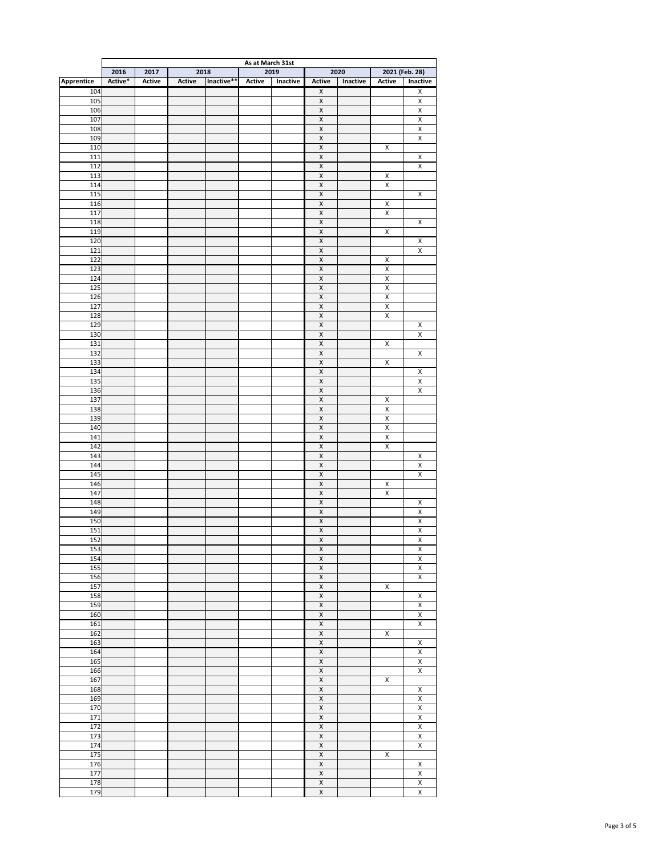|                   | As at March 31st |               |               |            |               |          |                                                    |          |                                      |                                                    |
|-------------------|------------------|---------------|---------------|------------|---------------|----------|----------------------------------------------------|----------|--------------------------------------|----------------------------------------------------|
|                   | 2016             | 2017          | 2018          |            |               | 2019     |                                                    | 2020     |                                      | 2021 (Feb. 28)                                     |
| <b>Apprentice</b> | Active*          | <b>Active</b> | <b>Active</b> | Inactive** | <b>Active</b> | Inactive | <b>Active</b>                                      | Inactive | <b>Active</b>                        | Inactive                                           |
| 104               |                  |               |               |            |               |          | $\mathsf X$                                        |          |                                      | $\pmb{\mathsf{X}}$                                 |
| 105               |                  |               |               |            |               |          | $\mathsf X$                                        |          |                                      | $\overline{X}$                                     |
| 106               |                  |               |               |            |               |          | $\mathsf X$                                        |          |                                      | $\mathsf X$                                        |
| 107<br>108        |                  |               |               |            |               |          | $\overline{X}$<br>$\mathsf X$                      |          |                                      | $\overline{\mathsf{X}}$<br>$\overline{\mathsf{X}}$ |
| 109               |                  |               |               |            |               |          | $\mathsf X$                                        |          |                                      | $\mathsf X$                                        |
| 110               |                  |               |               |            |               |          | $\pmb{\mathsf{X}}$                                 |          | $\pmb{\mathsf{X}}$                   |                                                    |
| 111               |                  |               |               |            |               |          | $\mathsf X$                                        |          |                                      | $\mathsf X$                                        |
| 112               |                  |               |               |            |               |          | $\overline{X}$                                     |          |                                      | $\overline{X}$                                     |
| 113               |                  |               |               |            |               |          | $\overline{X}$                                     |          | $\pmb{\mathsf{X}}$                   |                                                    |
| 114               |                  |               |               |            |               |          | $\mathsf X$                                        |          | $\pmb{\mathsf{X}}$                   |                                                    |
| 115               |                  |               |               |            |               |          | $\pmb{\mathsf{X}}$                                 |          |                                      | $\pmb{\mathsf{X}}$                                 |
| 116               |                  |               |               |            |               |          | $\pmb{\mathsf{X}}$                                 |          | $\mathsf X$                          |                                                    |
| 117               |                  |               |               |            |               |          | $\overline{X}$                                     |          | $\overline{X}$                       |                                                    |
| 118               |                  |               |               |            |               |          | $\overline{X}$                                     |          |                                      | $\overline{X}$                                     |
| 119               |                  |               |               |            |               |          | $\mathsf X$                                        |          | $\mathsf X$                          |                                                    |
| 120               |                  |               |               |            |               |          | $\pmb{\mathsf{X}}$                                 |          |                                      | $\pmb{\mathsf{X}}$                                 |
| 121               |                  |               |               |            |               |          | $\pmb{\mathsf{X}}$                                 |          |                                      | $\mathsf{X}$                                       |
| 122<br>123        |                  |               |               |            |               |          | $\overline{X}$<br>$\mathsf X$                      |          | $\pmb{\mathsf{X}}$<br>$\mathsf X$    |                                                    |
| 124               |                  |               |               |            |               |          | $\mathsf X$                                        |          | $\pmb{\mathsf{X}}$                   |                                                    |
| $125$             |                  |               |               |            |               |          | $\pmb{\mathsf{X}}$                                 |          | $\pmb{\mathsf{X}}$                   |                                                    |
| 126               |                  |               |               |            |               |          | $\mathsf X$                                        |          | $\mathsf X$                          |                                                    |
| 127               |                  |               |               |            |               |          | $\overline{X}$                                     |          | $\overline{X}$                       |                                                    |
| 128               |                  |               |               |            |               |          | $\overline{X}$                                     |          | $\pmb{\mathsf{X}}$                   |                                                    |
| 129               |                  |               |               |            |               |          | $\mathsf X$                                        |          |                                      | $\pmb{\mathsf{X}}$                                 |
| 130               |                  |               |               |            |               |          | $\overline{X}$                                     |          |                                      | $\overline{X}$                                     |
| 131               |                  |               |               |            |               |          | $\overline{X}$                                     |          | $\pmb{\mathsf{X}}$                   |                                                    |
| 132               |                  |               |               |            |               |          | $\overline{X}$                                     |          |                                      | $\overline{\mathsf{X}}$                            |
| 133               |                  |               |               |            |               |          | $\overline{\mathsf{X}}$                            |          | $\mathsf X$                          |                                                    |
| 134               |                  |               |               |            |               |          | $\mathsf X$                                        |          |                                      | $\pmb{\mathsf{X}}$                                 |
| 135               |                  |               |               |            |               |          | $\overline{\mathsf{X}}$                            |          |                                      | $\overline{\mathsf{X}}$                            |
| 136               |                  |               |               |            |               |          | $\mathsf{X}% _{0}$                                 |          |                                      | $\overline{X}$                                     |
| 137               |                  |               |               |            |               |          | $\overline{\mathsf{X}}$                            |          | $\mathsf X$                          |                                                    |
| 138               |                  |               |               |            |               |          | $\mathsf X$                                        |          | $\mathsf X$                          |                                                    |
| 139               |                  |               |               |            |               |          | $\overline{\mathsf{X}}$                            |          | $\mathsf X$                          |                                                    |
| 140<br>141        |                  |               |               |            |               |          | $\overline{\mathsf{X}}$<br>$\mathsf{X}% _{0}$      |          | $\overline{X}$<br>$\pmb{\mathsf{X}}$ |                                                    |
| 142               |                  |               |               |            |               |          | $\overline{\mathsf{X}}$                            |          | $\overline{X}$                       |                                                    |
| 143               |                  |               |               |            |               |          | $\mathsf X$                                        |          |                                      | $\mathsf X$                                        |
| 144               |                  |               |               |            |               |          | $\overline{\mathsf{X}}$                            |          |                                      | $\overline{X}$                                     |
| 145               |                  |               |               |            |               |          | $\overline{\mathsf{X}}$                            |          |                                      | $\overline{\mathsf{X}}$                            |
| 146               |                  |               |               |            |               |          | $\mathsf{X}% _{0}$                                 |          | $\mathsf X$                          |                                                    |
| 147               |                  |               |               |            |               |          | $\overline{\mathsf{X}}$                            |          | $\overline{X}$                       |                                                    |
| 148               |                  |               |               |            |               |          | $\mathsf X$                                        |          |                                      | $\mathsf X$                                        |
| 149               |                  |               |               |            |               |          | $\overline{X}$                                     |          |                                      | $\overline{\mathsf{X}}$                            |
| 150               |                  |               |               |            |               |          | $\overline{\mathsf{X}}$                            |          |                                      | $\overline{\mathsf{X}}$                            |
| 151               |                  |               |               |            |               |          | $\mathsf{X}% _{0}$                                 |          |                                      | $\overline{X}$                                     |
| 152               |                  |               |               |            |               |          | $\overline{\mathsf{X}}$                            |          |                                      | $\overline{\mathsf{X}}$                            |
| 153<br>154        |                  |               |               |            |               |          | $\overline{\mathsf{X}}$<br>$\overline{\mathsf{X}}$ |          |                                      | $\overline{\mathsf{X}}$<br>$\overline{\mathsf{X}}$ |
| 155               |                  |               |               |            |               |          | $\overline{\mathsf{X}}$                            |          |                                      | $\overline{\mathsf{X}}$                            |
| 156               |                  |               |               |            |               |          | $\mathsf{X}% _{0}$                                 |          |                                      | $\overline{X}$                                     |
| 157               |                  |               |               |            |               |          | $\overline{\mathsf{X}}$                            |          | $\mathsf X$                          |                                                    |
| 158               |                  |               |               |            |               |          | $\mathsf X$                                        |          |                                      | $\mathsf X$                                        |
| 159               |                  |               |               |            |               |          | $\overline{\mathsf{X}}$                            |          |                                      | $\overline{\mathsf{X}}$                            |
| 160               |                  |               |               |            |               |          | $\overline{\mathsf{X}}$                            |          |                                      | $\overline{\mathsf{X}}$                            |
| 161               |                  |               |               |            |               |          | $\pmb{\mathsf{X}}$                                 |          |                                      | $\pmb{\mathsf{X}}$                                 |
| 162               |                  |               |               |            |               |          | $\overline{\mathsf{X}}$                            |          | $\mathsf X$                          |                                                    |
| 163               |                  |               |               |            |               |          | $\pmb{\mathsf{X}}$                                 |          |                                      | $\overline{X}$                                     |
| 164               |                  |               |               |            |               |          | $\mathsf X$                                        |          |                                      | $\mathsf X$                                        |
| 165               |                  |               |               |            |               |          | $\mathsf X$                                        |          |                                      | $\mathsf{X}$                                       |
| 166<br>167        |                  |               |               |            |               |          | $\mathsf X$<br>$\overline{\mathsf{X}}$             |          | $\mathsf X$                          | $\mathsf{X}$                                       |
| 168               |                  |               |               |            |               |          | $\mathsf X$                                        |          |                                      | $\mathsf X$                                        |
| 169               |                  |               |               |            |               |          | $\mathsf X$                                        |          |                                      | $\mathsf X$                                        |
| 170               |                  |               |               |            |               |          | $\overline{X}$                                     |          |                                      | $\overline{X}$                                     |
| 171               |                  |               |               |            |               |          | $\mathsf X$                                        |          |                                      | $\mathsf X$                                        |
| 172               |                  |               |               |            |               |          | $\overline{\mathsf{X}}$                            |          |                                      | $\overline{\mathsf{X}}$                            |
| 173               |                  |               |               |            |               |          | $\overline{X}$                                     |          |                                      | $\overline{\mathsf{X}}$                            |
| 174               |                  |               |               |            |               |          | $\mathsf X$                                        |          |                                      | $\mathsf{X}$                                       |
| 175               |                  |               |               |            |               |          | $\overline{X}$                                     |          | $\mathsf X$                          |                                                    |
| 176               |                  |               |               |            |               |          | $\mathsf X$                                        |          |                                      | $\mathsf X$                                        |
| 177               |                  |               |               |            |               |          | $\overline{X}$                                     |          |                                      | $\overline{X}$                                     |
| 178               |                  |               |               |            |               |          | $\mathsf X$                                        |          |                                      | $\mathsf X$                                        |
| 179               |                  |               |               |            |               |          | $\mathsf X$                                        |          |                                      | $\mathsf X$                                        |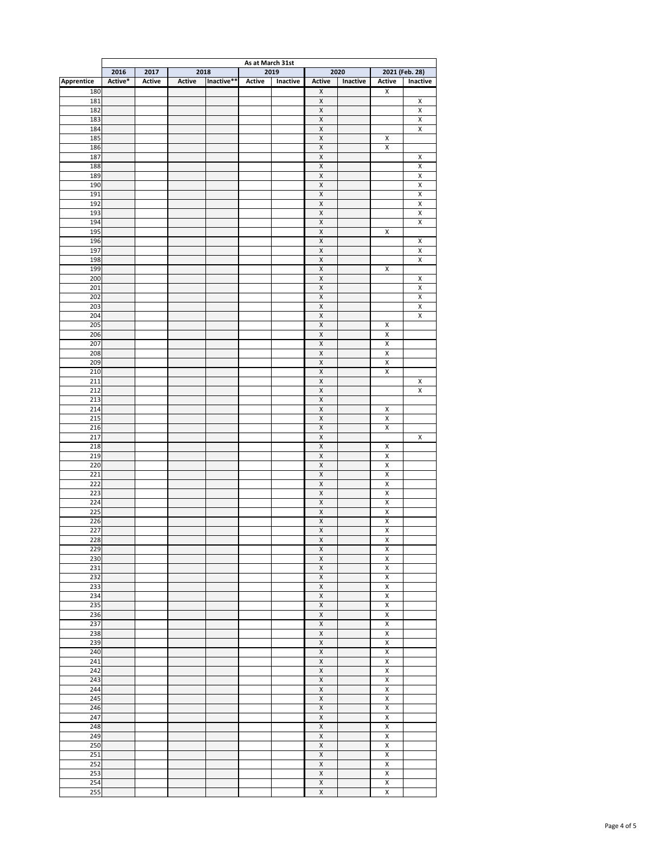|                   | As at March 31st |               |               |            |               |          |                            |          |                         |                                           |  |
|-------------------|------------------|---------------|---------------|------------|---------------|----------|----------------------------|----------|-------------------------|-------------------------------------------|--|
|                   | 2016             | 2017          | 2018          |            | 2019          |          |                            | 2020     |                         | 2021 (Feb. 28)                            |  |
| <b>Apprentice</b> | Active*          | <b>Active</b> | <b>Active</b> | Inactive** | <b>Active</b> | Inactive | <b>Active</b>              | Inactive | <b>Active</b>           | Inactive                                  |  |
| 180               |                  |               |               |            |               |          | $\pmb{\mathsf{X}}$         |          | $\mathsf X$             |                                           |  |
| 181               |                  |               |               |            |               |          | $\mathsf X$                |          |                         | $\pmb{\mathsf{X}}$                        |  |
| 182               |                  |               |               |            |               |          | $\mathsf X$                |          |                         | $\mathsf X$                               |  |
| 183               |                  |               |               |            |               |          | $\mathsf X$                |          |                         | $\overline{X}$                            |  |
| 184               |                  |               |               |            |               |          | $\mathsf X$                |          |                         | $\overline{X}$                            |  |
| 185               |                  |               |               |            |               |          | $\mathsf X$                |          | $\pmb{\mathsf{X}}$      |                                           |  |
| 186               |                  |               |               |            |               |          | $\mathsf X$                |          | $\pmb{\mathsf{X}}$      |                                           |  |
| 187               |                  |               |               |            |               |          | $\mathsf X$                |          |                         | $\mathsf X$                               |  |
| 188               |                  |               |               |            |               |          | $\mathsf X$                |          |                         | $\overline{X}$<br>$\overline{\mathsf{X}}$ |  |
| 189               |                  |               |               |            |               |          | $\mathsf X$                |          |                         |                                           |  |
| 190<br>191        |                  |               |               |            |               |          | $\mathsf X$<br>$\mathsf X$ |          |                         | $\mathsf X$<br>$\overline{\mathsf{X}}$    |  |
| 192               |                  |               |               |            |               |          | $\mathsf X$                |          |                         | $\mathsf X$                               |  |
| 193               |                  |               |               |            |               |          | $\mathsf X$                |          |                         | $\overline{X}$                            |  |
| 194               |                  |               |               |            |               |          | $\mathsf X$                |          |                         | $\overline{\mathsf{X}}$                   |  |
| 195               |                  |               |               |            |               |          | $\mathsf X$                |          | $\pmb{\mathsf{X}}$      |                                           |  |
| 196               |                  |               |               |            |               |          | $\overline{X}$             |          |                         | $\pmb{\mathsf{X}}$                        |  |
| 197               |                  |               |               |            |               |          | $\mathsf X$                |          |                         | $\mathsf X$                               |  |
| 198               |                  |               |               |            |               |          | $\mathsf X$                |          |                         | $\overline{X}$                            |  |
| 199               |                  |               |               |            |               |          | $\mathsf X$                |          | $\pmb{\mathsf{X}}$      |                                           |  |
| 200               |                  |               |               |            |               |          | $\mathsf X$                |          |                         | $\mathsf X$                               |  |
| 201               |                  |               |               |            |               |          | $\overline{X}$             |          |                         | $\overline{\mathsf{X}}$                   |  |
| 202               |                  |               |               |            |               |          | $\mathsf X$                |          |                         | $\pmb{\mathsf{X}}$                        |  |
| 203               |                  |               |               |            |               |          | $\mathsf X$                |          |                         | $\overline{X}$                            |  |
| 204               |                  |               |               |            |               |          | $\mathsf X$                |          |                         | $\overline{\mathsf{X}}$                   |  |
| 205               |                  |               |               |            |               |          | $\mathsf X$                |          | $\pmb{\mathsf{X}}$      |                                           |  |
| 206               |                  |               |               |            |               |          | $\overline{X}$             |          | $\overline{X}$          |                                           |  |
| 207               |                  |               |               |            |               |          | $\mathsf{X}$               |          | $\overline{X}$          |                                           |  |
| 208               |                  |               |               |            |               |          | $\mathsf X$                |          | $\pmb{\mathsf{X}}$      |                                           |  |
| 209               |                  |               |               |            |               |          | $\mathsf X$                |          | $\overline{X}$          |                                           |  |
| 210               |                  |               |               |            |               |          | $\mathsf X$                |          | $\pmb{\mathsf{X}}$      |                                           |  |
| 211               |                  |               |               |            |               |          | $\overline{\mathsf{X}}$    |          |                         | $\mathsf X$                               |  |
| 212               |                  |               |               |            |               |          | $\mathsf X$                |          |                         | $\mathsf{X}$                              |  |
| 213               |                  |               |               |            |               |          | $\mathsf X$                |          |                         |                                           |  |
| 214               |                  |               |               |            |               |          | $\mathsf X$                |          | $\mathsf X$             |                                           |  |
| 215               |                  |               |               |            |               |          | $\mathsf X$                |          | $\pmb{\mathsf{X}}$      |                                           |  |
| 216               |                  |               |               |            |               |          | $\overline{\mathsf{X}}$    |          | $\overline{\mathsf{X}}$ |                                           |  |
| 217               |                  |               |               |            |               |          | $\mathsf X$                |          |                         | $\mathsf X$                               |  |
| 218               |                  |               |               |            |               |          | $\mathsf X$                |          | $\pmb{\mathsf{X}}$      |                                           |  |
| 219               |                  |               |               |            |               |          | $\mathsf X$                |          | $\overline{X}$          |                                           |  |
| 220               |                  |               |               |            |               |          | $\mathsf X$                |          | $\mathsf X$             |                                           |  |
| 221               |                  |               |               |            |               |          | $\overline{\mathsf{X}}$    |          | $\overline{\mathsf{X}}$ |                                           |  |
| 222               |                  |               |               |            |               |          | $\mathsf X$                |          | $\mathsf X$             |                                           |  |
| 223               |                  |               |               |            |               |          | $\mathsf X$                |          | $\pmb{\mathsf{X}}$      |                                           |  |
| 224               |                  |               |               |            |               |          | $\mathsf X$                |          | $\overline{X}$          |                                           |  |
| 225               |                  |               |               |            |               |          | $\mathsf X$                |          | $\mathsf X$             |                                           |  |
| 226               |                  |               |               |            |               |          | $\overline{\mathsf{X}}$    |          | $\overline{X}$          |                                           |  |
| 227               |                  |               |               |            |               |          | $\mathsf X$                |          | $\mathsf X$             |                                           |  |
| 228               |                  |               |               |            |               |          | $\mathsf X$                |          | $\pmb{\mathsf{X}}$      |                                           |  |
| 229               |                  |               |               |            |               |          | $\mathsf X$                |          | $\overline{X}$          |                                           |  |
| 230               |                  |               |               |            |               |          | $\mathsf X$                |          | $\mathsf X$             |                                           |  |
| 231               |                  |               |               |            |               |          | $\overline{\mathsf{X}}$    |          | $\overline{X}$          |                                           |  |
| 232               |                  |               |               |            |               |          | $\mathsf X$                |          | $\mathsf X$             |                                           |  |
| 233               |                  |               |               |            |               |          | $\mathsf X$                |          | $\pmb{\mathsf{X}}$      |                                           |  |
| 234               |                  |               |               |            |               |          | $\mathsf X$                |          | $\overline{X}$          |                                           |  |
| 235               |                  |               |               |            |               |          | $\mathsf X$                |          | $\pmb{\mathsf{X}}$      |                                           |  |
| 236               |                  |               |               |            |               |          | $\overline{\mathsf{X}}$    |          | $\overline{X}$          |                                           |  |
| 237               |                  |               |               |            |               |          | $\pmb{\mathsf{X}}$         |          | $\pmb{\mathsf{X}}$      |                                           |  |
| 238               |                  |               |               |            |               |          | $\overline{X}$             |          | $\overline{X}$          |                                           |  |
| 239               |                  |               |               |            |               |          | $\mathsf X$                |          | $\overline{X}$          |                                           |  |
| 240               |                  |               |               |            |               |          | $\mathsf X$                |          | $\overline{X}$          |                                           |  |
| 241               |                  |               |               |            |               |          | $\mathsf X$                |          | $\mathsf X$             |                                           |  |
| 242               |                  |               |               |            |               |          | $\mathsf X$                |          | $\mathsf X$             |                                           |  |
| 243               |                  |               |               |            |               |          | $\overline{X}$             |          | $\pmb{\mathsf{X}}$      |                                           |  |
| 244               |                  |               |               |            |               |          | $\mathsf X$                |          | $\mathsf X$             |                                           |  |
| 245               |                  |               |               |            |               |          | $\mathsf X$                |          | $\pmb{\mathsf{X}}$      |                                           |  |
| 246               |                  |               |               |            |               |          | $\mathsf X$                |          | $\mathsf X$             |                                           |  |
| 247               |                  |               |               |            |               |          | $\mathsf X$                |          | $\mathsf X$             |                                           |  |
| 248               |                  |               |               |            |               |          | $\overline{\mathsf{X}}$    |          | $\pmb{\mathsf{X}}$      |                                           |  |
| 249               |                  |               |               |            |               |          | $\mathsf X$                |          | $\mathsf X$             |                                           |  |
| 250               |                  |               |               |            |               |          | $\mathsf X$                |          | $\pmb{\mathsf{X}}$      |                                           |  |
| 251               |                  |               |               |            |               |          | $\mathsf X$                |          | $\mathsf X$             |                                           |  |
| 252               |                  |               |               |            |               |          | $\mathsf X$                |          | $\mathsf X$             |                                           |  |
| 253               |                  |               |               |            |               |          | $\mathsf X$                |          | $\pmb{\mathsf{X}}$      |                                           |  |
| 254               |                  |               |               |            |               |          | $\mathsf X$                |          | $\mathsf X$             |                                           |  |
| 255               |                  |               |               |            |               |          | $\overline{X}$             |          | $\mathsf X$             |                                           |  |